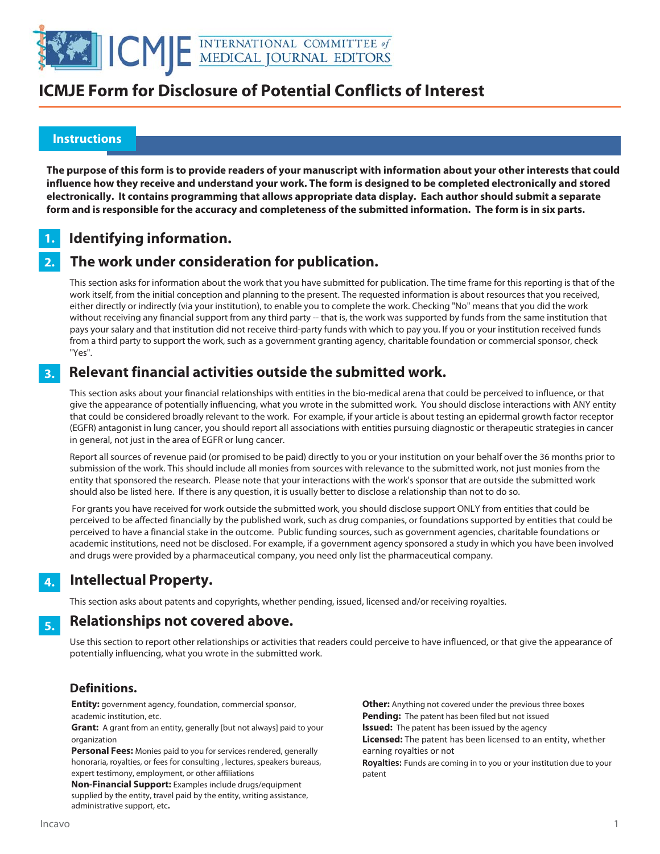

### **Instructions**

 

> **The purpose of this form is to provide readers of your manuscript with information about your other interests that could influence how they receive and understand your work. The form is designed to be completed electronically and stored electronically. It contains programming that allows appropriate data display. Each author should submit a separate form and is responsible for the accuracy and completeness of the submitted information. The form is in six parts.**

### **Identifying information. 1.**

### **The work under consideration for publication. 2.**

This section asks for information about the work that you have submitted for publication. The time frame for this reporting is that of the work itself, from the initial conception and planning to the present. The requested information is about resources that you received, either directly or indirectly (via your institution), to enable you to complete the work. Checking "No" means that you did the work without receiving any financial support from any third party -- that is, the work was supported by funds from the same institution that pays your salary and that institution did not receive third-party funds with which to pay you. If you or your institution received funds from a third party to support the work, such as a government granting agency, charitable foundation or commercial sponsor, check "Yes".

#### **Relevant financial activities outside the submitted work. 3.**

This section asks about your financial relationships with entities in the bio-medical arena that could be perceived to influence, or that give the appearance of potentially influencing, what you wrote in the submitted work. You should disclose interactions with ANY entity that could be considered broadly relevant to the work. For example, if your article is about testing an epidermal growth factor receptor (EGFR) antagonist in lung cancer, you should report all associations with entities pursuing diagnostic or therapeutic strategies in cancer in general, not just in the area of EGFR or lung cancer.

Report all sources of revenue paid (or promised to be paid) directly to you or your institution on your behalf over the 36 months prior to submission of the work. This should include all monies from sources with relevance to the submitted work, not just monies from the entity that sponsored the research. Please note that your interactions with the work's sponsor that are outside the submitted work should also be listed here. If there is any question, it is usually better to disclose a relationship than not to do so.

 For grants you have received for work outside the submitted work, you should disclose support ONLY from entities that could be perceived to be affected financially by the published work, such as drug companies, or foundations supported by entities that could be perceived to have a financial stake in the outcome. Public funding sources, such as government agencies, charitable foundations or academic institutions, need not be disclosed. For example, if a government agency sponsored a study in which you have been involved and drugs were provided by a pharmaceutical company, you need only list the pharmaceutical company.

### **Intellectual Property. 4.**

This section asks about patents and copyrights, whether pending, issued, licensed and/or receiving royalties.

#### **Relationships not covered above. 5.**

Use this section to report other relationships or activities that readers could perceive to have influenced, or that give the appearance of potentially influencing, what you wrote in the submitted work.

## **Definitions.**

**Entity:** government agency, foundation, commercial sponsor, academic institution, etc.

**Grant:** A grant from an entity, generally [but not always] paid to your organization

**Personal Fees:** Monies paid to you for services rendered, generally honoraria, royalties, or fees for consulting , lectures, speakers bureaus, expert testimony, employment, or other affiliations

**Non-Financial Support:** Examples include drugs/equipment supplied by the entity, travel paid by the entity, writing assistance, administrative support, etc**.**

**Other:** Anything not covered under the previous three boxes **Pending:** The patent has been filed but not issued **Issued:** The patent has been issued by the agency **Licensed:** The patent has been licensed to an entity, whether earning royalties or not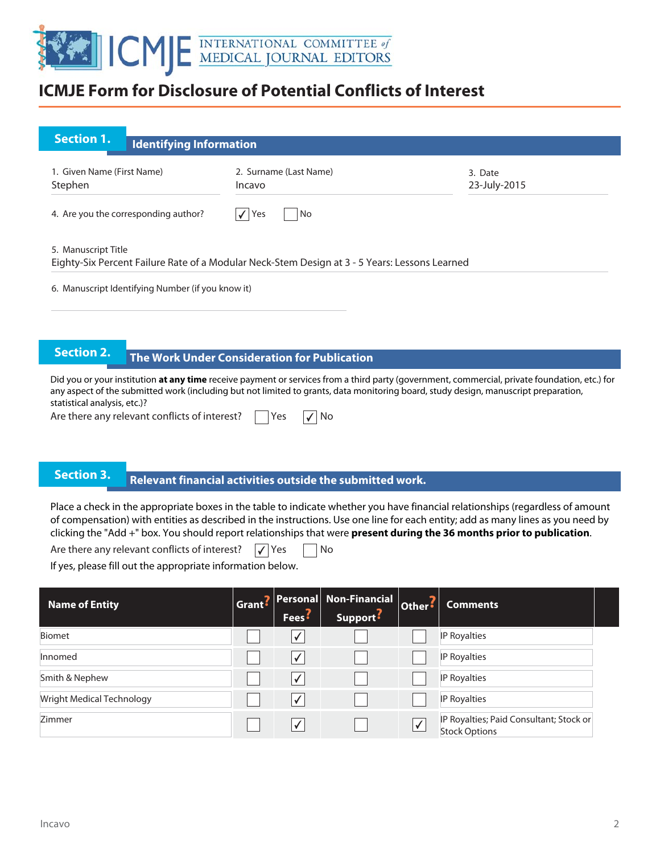

| <b>Section 1.</b>                                                         | <b>Identifying Information</b>                    |                                                                                               |                         |  |  |
|---------------------------------------------------------------------------|---------------------------------------------------|-----------------------------------------------------------------------------------------------|-------------------------|--|--|
| 1. Given Name (First Name)<br>Stephen                                     |                                                   | 2. Surname (Last Name)<br><b>Incavo</b>                                                       | 3. Date<br>23-July-2015 |  |  |
| $\sqrt{\vert \gamma \vert}$<br>4. Are you the corresponding author?<br>No |                                                   |                                                                                               |                         |  |  |
| 5. Manuscript Title                                                       |                                                   | Eighty-Six Percent Failure Rate of a Modular Neck-Stem Design at 3 - 5 Years: Lessons Learned |                         |  |  |
|                                                                           | 6. Manuscript Identifying Number (if you know it) |                                                                                               |                         |  |  |

## **The Work Under Consideration for Publication**

Did you or your institution **at any time** receive payment or services from a third party (government, commercial, private foundation, etc.) for any aspect of the submitted work (including but not limited to grants, data monitoring board, study design, manuscript preparation, statistical analysis, etc.)?

Are there any relevant conflicts of interest?  $\Box$  Yes  $\Box$  No

# **Relevant financial activities outside the submitted work. Section 3. Relevant financial activities outset**

Place a check in the appropriate boxes in the table to indicate whether you have financial relationships (regardless of amount of compensation) with entities as described in the instructions. Use one line for each entity; add as many lines as you need by clicking the "Add +" box. You should report relationships that were **present during the 36 months prior to publication**.

Are there any relevant conflicts of interest?  $\sqrt{\ }$  Yes  $\Box$  No

If yes, please fill out the appropriate information below.

| <b>Name of Entity</b>     | Grant? | Fees <sup>:</sup> | Personal   Non-Financial<br>Support <sup>5</sup> | $ $ Other $\frac{7}{3}$ | <b>Comments</b>                                                 |  |
|---------------------------|--------|-------------------|--------------------------------------------------|-------------------------|-----------------------------------------------------------------|--|
| <b>Biomet</b>             |        | $\checkmark$      |                                                  |                         | <b>IP Royalties</b>                                             |  |
| Innomed                   |        | $\checkmark$      |                                                  |                         | <b>IP Royalties</b>                                             |  |
| Smith & Nephew            |        |                   |                                                  |                         | <b>IP Royalties</b>                                             |  |
| Wright Medical Technology |        | $\checkmark$      |                                                  |                         | <b>IP Royalties</b>                                             |  |
| Zimmer                    |        | $\checkmark$      |                                                  | $\checkmark$            | IP Royalties; Paid Consultant; Stock or<br><b>Stock Options</b> |  |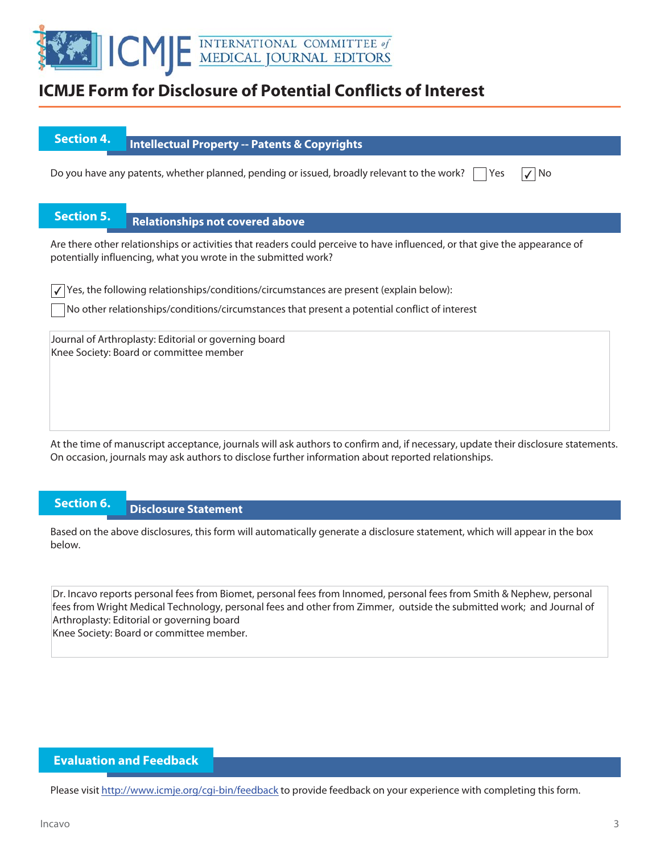

# **Intellectual Property -- Patents & Copyrights**

Do you have any patents, whether planned, pending or issued, broadly relevant to the work?  $\vert \ \vert$  Yes  $\vert \ \vert$  No

## **Section 5.** Relationships not covered above

Are there other relationships or activities that readers could perceive to have influenced, or that give the appearance of potentially influencing, what you wrote in the submitted work?

 $\sqrt{\frac{y}{x}}$  Yes, the following relationships/conditions/circumstances are present (explain below):

No other relationships/conditions/circumstances that present a potential conflict of interest

Journal of Arthroplasty: Editorial or governing board Knee Society: Board or committee member

At the time of manuscript acceptance, journals will ask authors to confirm and, if necessary, update their disclosure statements. On occasion, journals may ask authors to disclose further information about reported relationships.

## **Section 6. Disclosure Statement**

Based on the above disclosures, this form will automatically generate a disclosure statement, which will appear in the box below.

Dr. Incavo reports personal fees from Biomet, personal fees from Innomed, personal fees from Smith & Nephew, personal fees from Wright Medical Technology, personal fees and other from Zimmer, outside the submitted work; and Journal of Arthroplasty: Editorial or governing board

Knee Society: Board or committee member.

### **Evaluation and Feedback**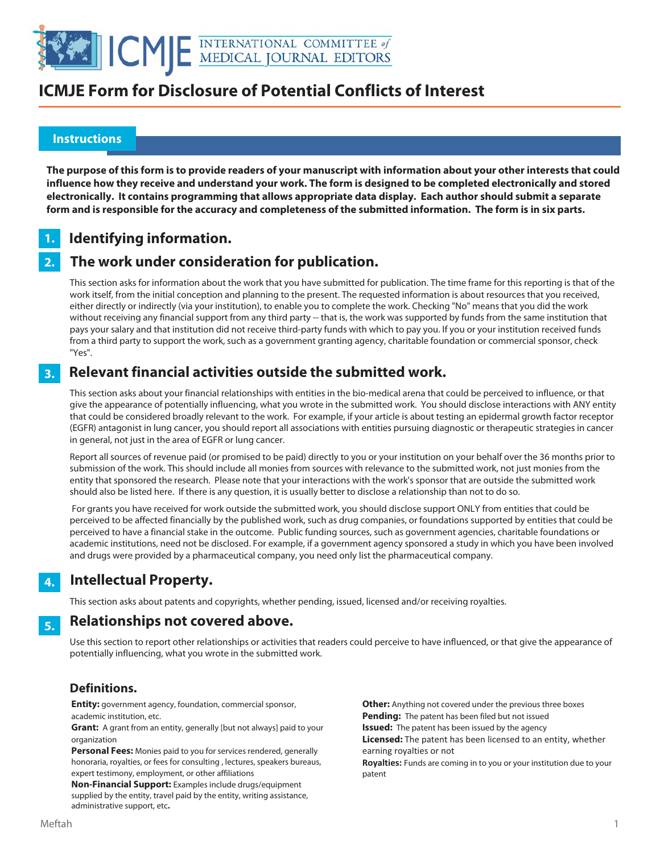

### **Instructions**

 

> **The purpose of this form is to provide readers of your manuscript with information about your other interests that could influence how they receive and understand your work. The form is designed to be completed electronically and stored electronically. It contains programming that allows appropriate data display. Each author should submit a separate form and is responsible for the accuracy and completeness of the submitted information. The form is in six parts.**

### **Identifying information. 1.**

### **The work under consideration for publication. 2.**

This section asks for information about the work that you have submitted for publication. The time frame for this reporting is that of the work itself, from the initial conception and planning to the present. The requested information is about resources that you received, either directly or indirectly (via your institution), to enable you to complete the work. Checking "No" means that you did the work without receiving any financial support from any third party -- that is, the work was supported by funds from the same institution that pays your salary and that institution did not receive third-party funds with which to pay you. If you or your institution received funds from a third party to support the work, such as a government granting agency, charitable foundation or commercial sponsor, check "Yes".

#### **Relevant financial activities outside the submitted work. 3.**

This section asks about your financial relationships with entities in the bio-medical arena that could be perceived to influence, or that give the appearance of potentially influencing, what you wrote in the submitted work. You should disclose interactions with ANY entity that could be considered broadly relevant to the work. For example, if your article is about testing an epidermal growth factor receptor (EGFR) antagonist in lung cancer, you should report all associations with entities pursuing diagnostic or therapeutic strategies in cancer in general, not just in the area of EGFR or lung cancer.

Report all sources of revenue paid (or promised to be paid) directly to you or your institution on your behalf over the 36 months prior to submission of the work. This should include all monies from sources with relevance to the submitted work, not just monies from the entity that sponsored the research. Please note that your interactions with the work's sponsor that are outside the submitted work should also be listed here. If there is any question, it is usually better to disclose a relationship than not to do so.

 For grants you have received for work outside the submitted work, you should disclose support ONLY from entities that could be perceived to be affected financially by the published work, such as drug companies, or foundations supported by entities that could be perceived to have a financial stake in the outcome. Public funding sources, such as government agencies, charitable foundations or academic institutions, need not be disclosed. For example, if a government agency sponsored a study in which you have been involved and drugs were provided by a pharmaceutical company, you need only list the pharmaceutical company.

### **Intellectual Property. 4.**

This section asks about patents and copyrights, whether pending, issued, licensed and/or receiving royalties.

#### **Relationships not covered above. 5.**

Use this section to report other relationships or activities that readers could perceive to have influenced, or that give the appearance of potentially influencing, what you wrote in the submitted work.

## **Definitions.**

**Entity:** government agency, foundation, commercial sponsor, academic institution, etc.

**Grant:** A grant from an entity, generally [but not always] paid to your organization

**Personal Fees:** Monies paid to you for services rendered, generally honoraria, royalties, or fees for consulting , lectures, speakers bureaus, expert testimony, employment, or other affiliations

**Non-Financial Support:** Examples include drugs/equipment supplied by the entity, travel paid by the entity, writing assistance, administrative support, etc**.**

**Other:** Anything not covered under the previous three boxes **Pending:** The patent has been filed but not issued **Issued:** The patent has been issued by the agency **Licensed:** The patent has been licensed to an entity, whether earning royalties or not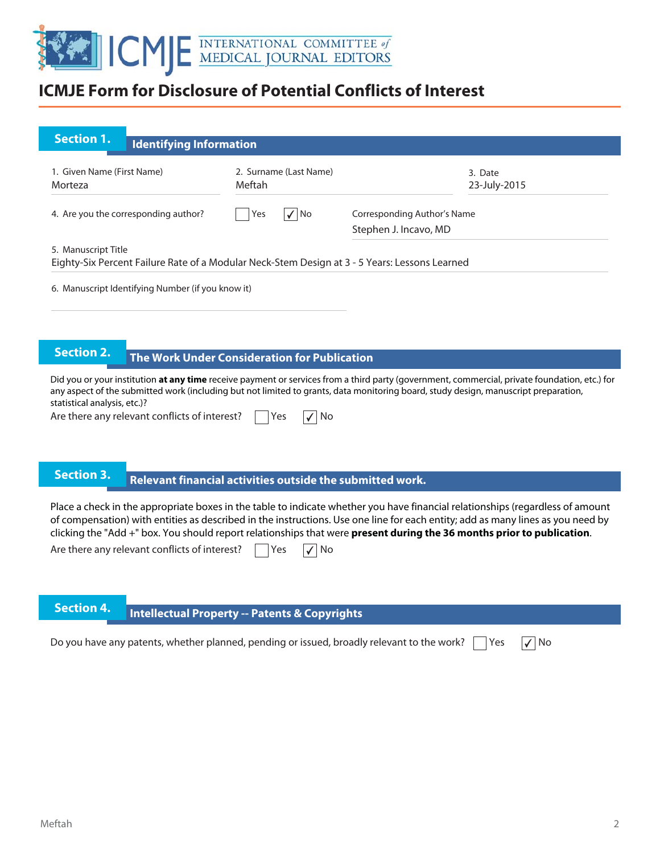

| <b>Section 1.</b>                                                                                                    |                                                           |                                                                                                                                                                                                                                                                                      |
|----------------------------------------------------------------------------------------------------------------------|-----------------------------------------------------------|--------------------------------------------------------------------------------------------------------------------------------------------------------------------------------------------------------------------------------------------------------------------------------------|
| <b>Identifying Information</b>                                                                                       |                                                           |                                                                                                                                                                                                                                                                                      |
| 1. Given Name (First Name)<br>Morteza                                                                                | 2. Surname (Last Name)<br>Meftah                          | 3. Date<br>23-July-2015                                                                                                                                                                                                                                                              |
| 4. Are you the corresponding author?                                                                                 | No<br>Yes                                                 | Corresponding Author's Name<br>Stephen J. Incavo, MD                                                                                                                                                                                                                                 |
| 5. Manuscript Title<br>Eighty-Six Percent Failure Rate of a Modular Neck-Stem Design at 3 - 5 Years: Lessons Learned |                                                           |                                                                                                                                                                                                                                                                                      |
| 6. Manuscript Identifying Number (if you know it)                                                                    |                                                           |                                                                                                                                                                                                                                                                                      |
|                                                                                                                      |                                                           |                                                                                                                                                                                                                                                                                      |
| <b>Section 2.</b>                                                                                                    | The Work Under Consideration for Publication              |                                                                                                                                                                                                                                                                                      |
| statistical analysis, etc.)?                                                                                         |                                                           | Did you or your institution at any time receive payment or services from a third party (government, commercial, private foundation, etc.) for<br>any aspect of the submitted work (including but not limited to grants, data monitoring board, study design, manuscript preparation, |
| Are there any relevant conflicts of interest?                                                                        | No.<br>Yes                                                |                                                                                                                                                                                                                                                                                      |
|                                                                                                                      |                                                           |                                                                                                                                                                                                                                                                                      |
| <b>Section 3.</b>                                                                                                    | Relevant financial activities outside the submitted work. |                                                                                                                                                                                                                                                                                      |

Place a check in the appropriate boxes in the table to indicate whether you have financial relationships (regardless of amount of compensation) with entities as described in the instructions. Use one line for each entity; add as many lines as you need by clicking the "Add +" box. You should report relationships that were **present during the 36 months prior to publication**.

|  | Are there any relevant conflicts of interest? |  | Yes |  | $\sqrt{\ }$ No |
|--|-----------------------------------------------|--|-----|--|----------------|
|--|-----------------------------------------------|--|-----|--|----------------|

# **Intellectual Property -- Patents & Copyrights**

| Do you have any patents, whether planned, pending or issued, broadly relevant to the work? $\Box$ Yes $\Box$ No |  |  |  |
|-----------------------------------------------------------------------------------------------------------------|--|--|--|
|-----------------------------------------------------------------------------------------------------------------|--|--|--|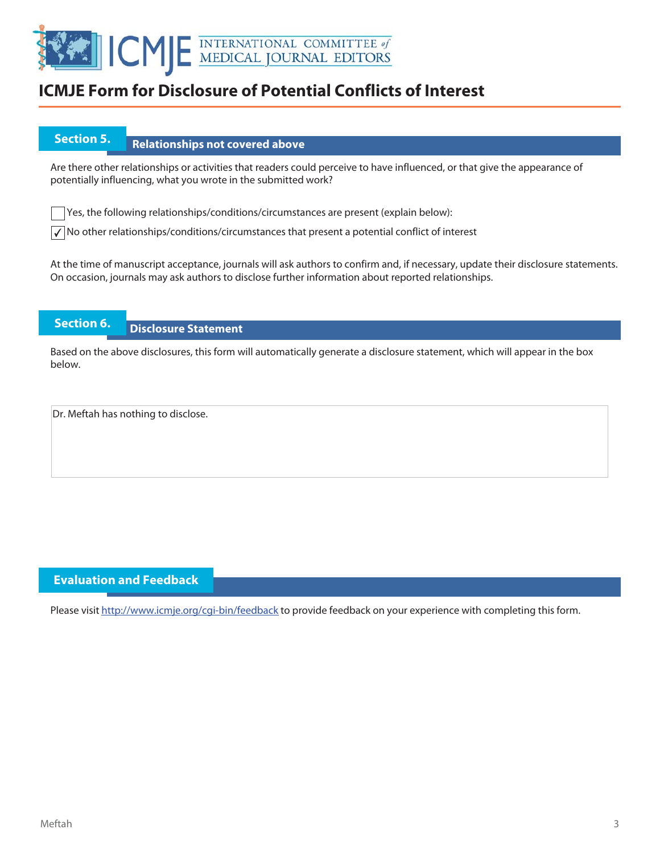

## **Section 5.** Relationships not covered above

Are there other relationships or activities that readers could perceive to have influenced, or that give the appearance of potentially influencing, what you wrote in the submitted work?

Yes, the following relationships/conditions/circumstances are present (explain below):

 $\sqrt{\ }$  No other relationships/conditions/circumstances that present a potential conflict of interest

At the time of manuscript acceptance, journals will ask authors to confirm and, if necessary, update their disclosure statements. On occasion, journals may ask authors to disclose further information about reported relationships.

## **Section 6. Disclosure Statement**

Based on the above disclosures, this form will automatically generate a disclosure statement, which will appear in the box below.

Dr. Meftah has nothing to disclose.

## **Evaluation and Feedback**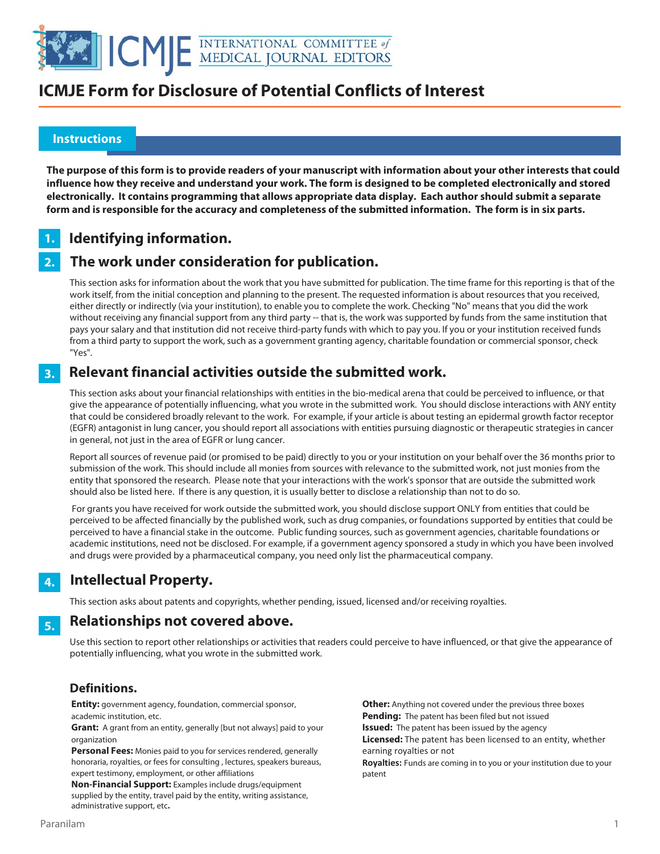

### **Instructions**

 

> **The purpose of this form is to provide readers of your manuscript with information about your other interests that could influence how they receive and understand your work. The form is designed to be completed electronically and stored electronically. It contains programming that allows appropriate data display. Each author should submit a separate form and is responsible for the accuracy and completeness of the submitted information. The form is in six parts.**

### **Identifying information. 1.**

### **The work under consideration for publication. 2.**

This section asks for information about the work that you have submitted for publication. The time frame for this reporting is that of the work itself, from the initial conception and planning to the present. The requested information is about resources that you received, either directly or indirectly (via your institution), to enable you to complete the work. Checking "No" means that you did the work without receiving any financial support from any third party -- that is, the work was supported by funds from the same institution that pays your salary and that institution did not receive third-party funds with which to pay you. If you or your institution received funds from a third party to support the work, such as a government granting agency, charitable foundation or commercial sponsor, check "Yes".

#### **Relevant financial activities outside the submitted work. 3.**

This section asks about your financial relationships with entities in the bio-medical arena that could be perceived to influence, or that give the appearance of potentially influencing, what you wrote in the submitted work. You should disclose interactions with ANY entity that could be considered broadly relevant to the work. For example, if your article is about testing an epidermal growth factor receptor (EGFR) antagonist in lung cancer, you should report all associations with entities pursuing diagnostic or therapeutic strategies in cancer in general, not just in the area of EGFR or lung cancer.

Report all sources of revenue paid (or promised to be paid) directly to you or your institution on your behalf over the 36 months prior to submission of the work. This should include all monies from sources with relevance to the submitted work, not just monies from the entity that sponsored the research. Please note that your interactions with the work's sponsor that are outside the submitted work should also be listed here. If there is any question, it is usually better to disclose a relationship than not to do so.

 For grants you have received for work outside the submitted work, you should disclose support ONLY from entities that could be perceived to be affected financially by the published work, such as drug companies, or foundations supported by entities that could be perceived to have a financial stake in the outcome. Public funding sources, such as government agencies, charitable foundations or academic institutions, need not be disclosed. For example, if a government agency sponsored a study in which you have been involved and drugs were provided by a pharmaceutical company, you need only list the pharmaceutical company.

### **Intellectual Property. 4.**

This section asks about patents and copyrights, whether pending, issued, licensed and/or receiving royalties.

#### **Relationships not covered above. 5.**

Use this section to report other relationships or activities that readers could perceive to have influenced, or that give the appearance of potentially influencing, what you wrote in the submitted work.

## **Definitions.**

**Entity:** government agency, foundation, commercial sponsor, academic institution, etc.

**Grant:** A grant from an entity, generally [but not always] paid to your organization

**Personal Fees:** Monies paid to you for services rendered, generally honoraria, royalties, or fees for consulting , lectures, speakers bureaus, expert testimony, employment, or other affiliations

**Non-Financial Support:** Examples include drugs/equipment supplied by the entity, travel paid by the entity, writing assistance, administrative support, etc**.**

**Other:** Anything not covered under the previous three boxes **Pending:** The patent has been filed but not issued **Issued:** The patent has been issued by the agency **Licensed:** The patent has been licensed to an entity, whether earning royalties or not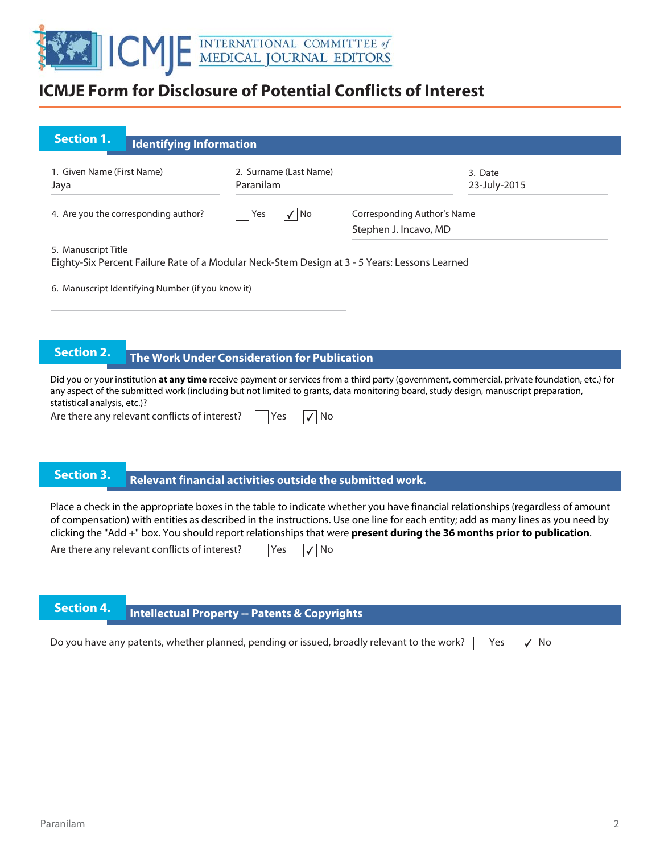

| <b>Section 1.</b>                                                             | <b>Identifying Information</b>                                                                |                                                                                                                                                                                                                                                                                             |
|-------------------------------------------------------------------------------|-----------------------------------------------------------------------------------------------|---------------------------------------------------------------------------------------------------------------------------------------------------------------------------------------------------------------------------------------------------------------------------------------------|
| 1. Given Name (First Name)<br>Jaya                                            | 2. Surname (Last Name)<br>Paranilam                                                           | 3. Date<br>23-July-2015                                                                                                                                                                                                                                                                     |
| 4. Are you the corresponding author?                                          | $\checkmark$<br>  No<br>Yes                                                                   | Corresponding Author's Name<br>Stephen J. Incavo, MD                                                                                                                                                                                                                                        |
| 5. Manuscript Title                                                           | Eighty-Six Percent Failure Rate of a Modular Neck-Stem Design at 3 - 5 Years: Lessons Learned |                                                                                                                                                                                                                                                                                             |
| 6. Manuscript Identifying Number (if you know it)                             |                                                                                               |                                                                                                                                                                                                                                                                                             |
|                                                                               |                                                                                               |                                                                                                                                                                                                                                                                                             |
| <b>Section 2.</b>                                                             | The Work Under Consideration for Publication                                                  |                                                                                                                                                                                                                                                                                             |
| statistical analysis, etc.)?<br>Are there any relevant conflicts of interest? | $\sqrt{ }$ No<br>Yes                                                                          | Did you or your institution <b>at any time</b> receive payment or services from a third party (government, commercial, private foundation, etc.) for<br>any aspect of the submitted work (including but not limited to grants, data monitoring board, study design, manuscript preparation, |
|                                                                               |                                                                                               |                                                                                                                                                                                                                                                                                             |
| <b>Section 3.</b>                                                             | Relevant financial activities outside the submitted work.                                     |                                                                                                                                                                                                                                                                                             |

Place a check in the appropriate boxes in the table to indicate whether you have financial relationships (regardless of amount of compensation) with entities as described in the instructions. Use one line for each entity; add as many lines as you need by clicking the "Add +" box. You should report relationships that were **present during the 36 months prior to publication**.

|  | Are there any relevant conflicts of interest? |  | Yes |  | $\sqrt{\ }$ No |
|--|-----------------------------------------------|--|-----|--|----------------|
|--|-----------------------------------------------|--|-----|--|----------------|

# **Intellectual Property -- Patents & Copyrights**

Do you have any patents, whether planned, pending or issued, broadly relevant to the work?  $\Box$  Yes  $\Box$  No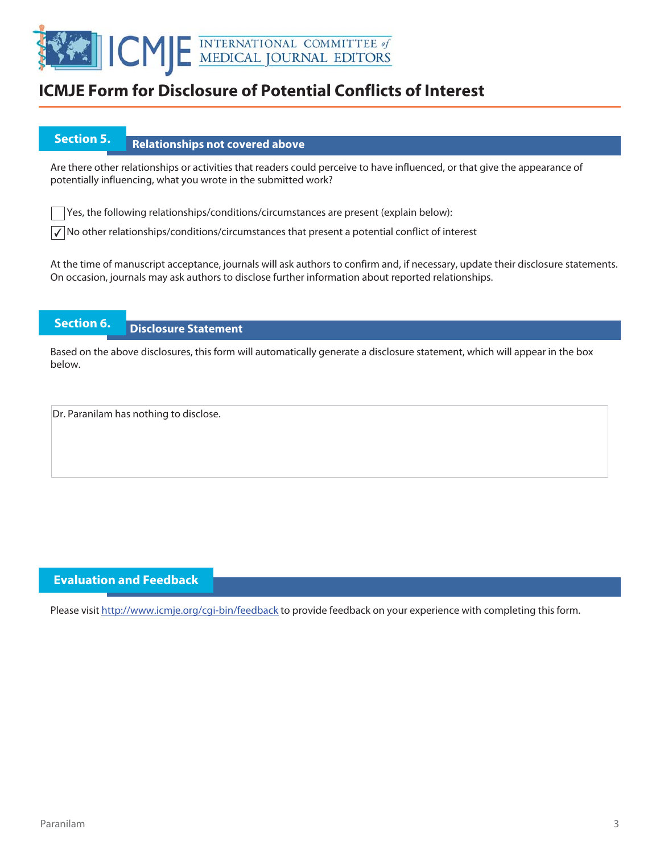

## **Section 5.** Relationships not covered above

Are there other relationships or activities that readers could perceive to have influenced, or that give the appearance of potentially influencing, what you wrote in the submitted work?

Yes, the following relationships/conditions/circumstances are present (explain below):

 $\sqrt{\ }$  No other relationships/conditions/circumstances that present a potential conflict of interest

At the time of manuscript acceptance, journals will ask authors to confirm and, if necessary, update their disclosure statements. On occasion, journals may ask authors to disclose further information about reported relationships.

## **Section 6. Disclosure Statement**

Based on the above disclosures, this form will automatically generate a disclosure statement, which will appear in the box below.

Dr. Paranilam has nothing to disclose.

## **Evaluation and Feedback**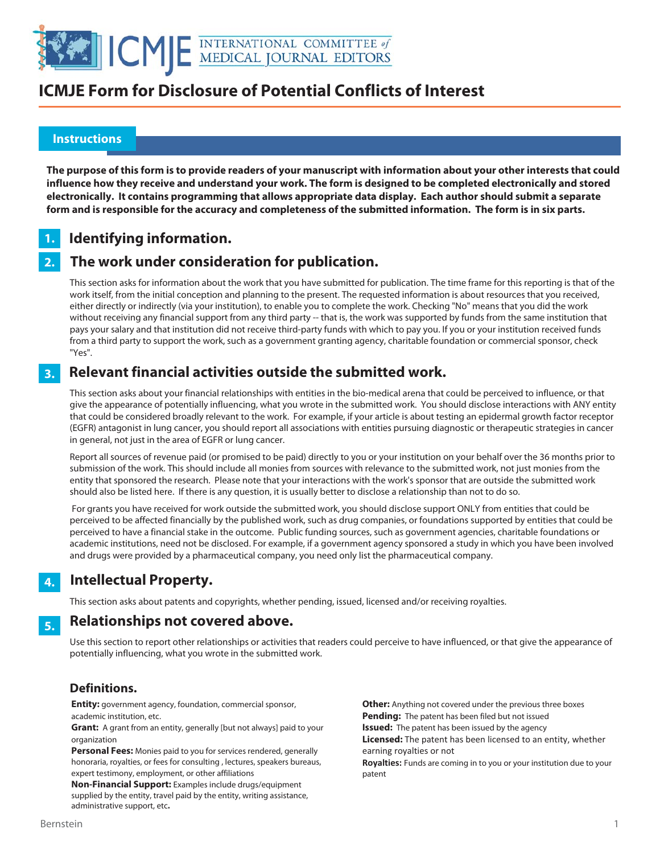

### **Instructions**

 

> **The purpose of this form is to provide readers of your manuscript with information about your other interests that could influence how they receive and understand your work. The form is designed to be completed electronically and stored electronically. It contains programming that allows appropriate data display. Each author should submit a separate form and is responsible for the accuracy and completeness of the submitted information. The form is in six parts.**

### **Identifying information. 1.**

### **The work under consideration for publication. 2.**

This section asks for information about the work that you have submitted for publication. The time frame for this reporting is that of the work itself, from the initial conception and planning to the present. The requested information is about resources that you received, either directly or indirectly (via your institution), to enable you to complete the work. Checking "No" means that you did the work without receiving any financial support from any third party -- that is, the work was supported by funds from the same institution that pays your salary and that institution did not receive third-party funds with which to pay you. If you or your institution received funds from a third party to support the work, such as a government granting agency, charitable foundation or commercial sponsor, check "Yes".

#### **Relevant financial activities outside the submitted work. 3.**

This section asks about your financial relationships with entities in the bio-medical arena that could be perceived to influence, or that give the appearance of potentially influencing, what you wrote in the submitted work. You should disclose interactions with ANY entity that could be considered broadly relevant to the work. For example, if your article is about testing an epidermal growth factor receptor (EGFR) antagonist in lung cancer, you should report all associations with entities pursuing diagnostic or therapeutic strategies in cancer in general, not just in the area of EGFR or lung cancer.

Report all sources of revenue paid (or promised to be paid) directly to you or your institution on your behalf over the 36 months prior to submission of the work. This should include all monies from sources with relevance to the submitted work, not just monies from the entity that sponsored the research. Please note that your interactions with the work's sponsor that are outside the submitted work should also be listed here. If there is any question, it is usually better to disclose a relationship than not to do so.

 For grants you have received for work outside the submitted work, you should disclose support ONLY from entities that could be perceived to be affected financially by the published work, such as drug companies, or foundations supported by entities that could be perceived to have a financial stake in the outcome. Public funding sources, such as government agencies, charitable foundations or academic institutions, need not be disclosed. For example, if a government agency sponsored a study in which you have been involved and drugs were provided by a pharmaceutical company, you need only list the pharmaceutical company.

### **Intellectual Property. 4.**

This section asks about patents and copyrights, whether pending, issued, licensed and/or receiving royalties.

#### **Relationships not covered above. 5.**

Use this section to report other relationships or activities that readers could perceive to have influenced, or that give the appearance of potentially influencing, what you wrote in the submitted work.

## **Definitions.**

**Entity:** government agency, foundation, commercial sponsor, academic institution, etc.

**Grant:** A grant from an entity, generally [but not always] paid to your organization

**Personal Fees:** Monies paid to you for services rendered, generally honoraria, royalties, or fees for consulting , lectures, speakers bureaus, expert testimony, employment, or other affiliations

**Non-Financial Support:** Examples include drugs/equipment supplied by the entity, travel paid by the entity, writing assistance, administrative support, etc**.**

**Other:** Anything not covered under the previous three boxes **Pending:** The patent has been filed but not issued **Issued:** The patent has been issued by the agency **Licensed:** The patent has been licensed to an entity, whether earning royalties or not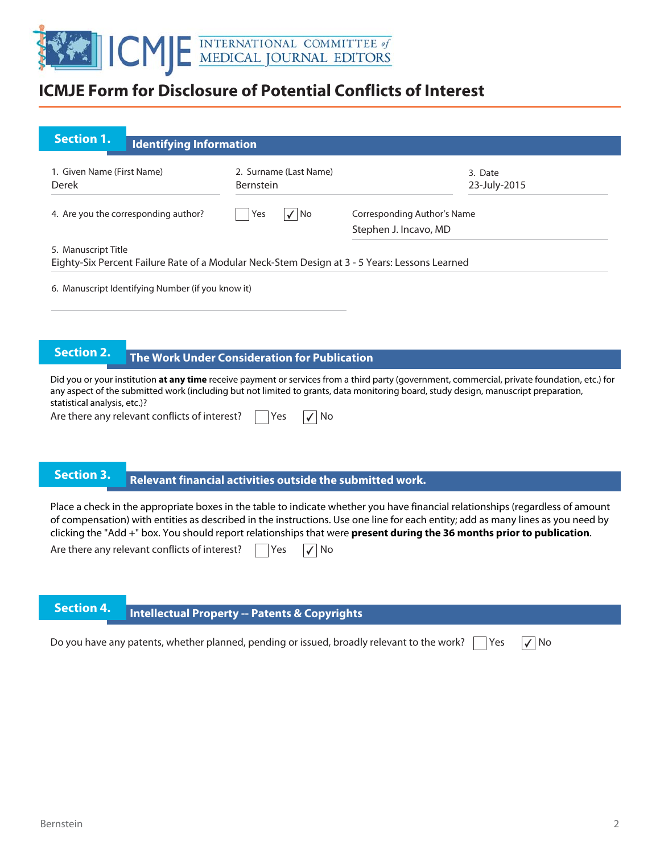

| <b>Section 1.</b>                                                             | <b>Identifying Information</b>                                                                |                                                                                                                                                                                                                                                                                      |
|-------------------------------------------------------------------------------|-----------------------------------------------------------------------------------------------|--------------------------------------------------------------------------------------------------------------------------------------------------------------------------------------------------------------------------------------------------------------------------------------|
| 1. Given Name (First Name)<br>Derek                                           | 2. Surname (Last Name)<br>Bernstein                                                           | 3. Date<br>23-July-2015                                                                                                                                                                                                                                                              |
| 4. Are you the corresponding author?                                          | $\checkmark$<br>  No<br>Yes                                                                   | Corresponding Author's Name<br>Stephen J. Incavo, MD                                                                                                                                                                                                                                 |
| 5. Manuscript Title                                                           | Eighty-Six Percent Failure Rate of a Modular Neck-Stem Design at 3 - 5 Years: Lessons Learned |                                                                                                                                                                                                                                                                                      |
| 6. Manuscript Identifying Number (if you know it)                             |                                                                                               |                                                                                                                                                                                                                                                                                      |
|                                                                               |                                                                                               |                                                                                                                                                                                                                                                                                      |
| <b>Section 2.</b>                                                             | The Work Under Consideration for Publication                                                  |                                                                                                                                                                                                                                                                                      |
| statistical analysis, etc.)?<br>Are there any relevant conflicts of interest? | $\sqrt{ }$ No<br>Yes                                                                          | Did you or your institution at any time receive payment or services from a third party (government, commercial, private foundation, etc.) for<br>any aspect of the submitted work (including but not limited to grants, data monitoring board, study design, manuscript preparation, |
|                                                                               |                                                                                               |                                                                                                                                                                                                                                                                                      |
| <b>Section 3.</b>                                                             | Relevant financial activities outside the submitted work.                                     |                                                                                                                                                                                                                                                                                      |
|                                                                               |                                                                                               | Place a check in the appropriate boxes in the table to indicate whether you have financial relationships (regardless of amount<br>of compensation) with entities as described in the instructions. Use one line for each entity; add as many lines as you need by                    |

clicking the "Add +" box. You should report relationships that were **present during the 36 months prior to publication**.

| Are there any relevant conflicts of interest? | <b>Yes</b> |  | $\sqrt{\ }$ No |
|-----------------------------------------------|------------|--|----------------|
|-----------------------------------------------|------------|--|----------------|

# **Intellectual Property -- Patents & Copyrights**

| Do you have any patents, whether planned, pending or issued, broadly relevant to the work? $\Box$ Yes $\Box$ No |  |  |
|-----------------------------------------------------------------------------------------------------------------|--|--|
|                                                                                                                 |  |  |